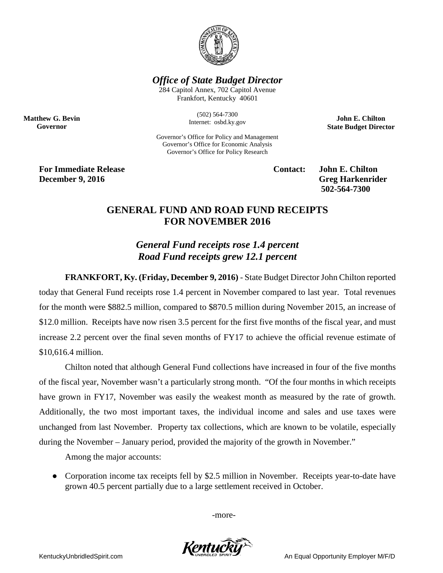

*Office of State Budget Director*

284 Capitol Annex, 702 Capitol Avenue Frankfort, Kentucky 40601

> (502) 564-7300 Internet: osbd.ky.gov

Governor's Office for Policy and Management Governor's Office for Economic Analysis Governor's Office for Policy Research

**John E. Chilton State Budget Director**

**For Immediate Release Contact: John E. Chilton December 9, 2016** Greg Harkenrider

**Matthew G. Bevin Governor**

**502-564-7300** 

## **GENERAL FUND AND ROAD FUND RECEIPTS FOR NOVEMBER 2016**

*General Fund receipts rose 1.4 percent Road Fund receipts grew 12.1 percent*

**FRANKFORT, Ky. (Friday, December 9, 2016)** - State Budget Director John Chilton reported today that General Fund receipts rose 1.4 percent in November compared to last year. Total revenues for the month were \$882.5 million, compared to \$870.5 million during November 2015, an increase of \$12.0 million. Receipts have now risen 3.5 percent for the first five months of the fiscal year, and must increase 2.2 percent over the final seven months of FY17 to achieve the official revenue estimate of \$10,616.4 million.

Chilton noted that although General Fund collections have increased in four of the five months of the fiscal year, November wasn't a particularly strong month. "Of the four months in which receipts have grown in FY17, November was easily the weakest month as measured by the rate of growth. Additionally, the two most important taxes, the individual income and sales and use taxes were unchanged from last November. Property tax collections, which are known to be volatile, especially during the November – January period, provided the majority of the growth in November."

Among the major accounts:

• Corporation income tax receipts fell by \$2.5 million in November. Receipts year-to-date have grown 40.5 percent partially due to a large settlement received in October.

-more-

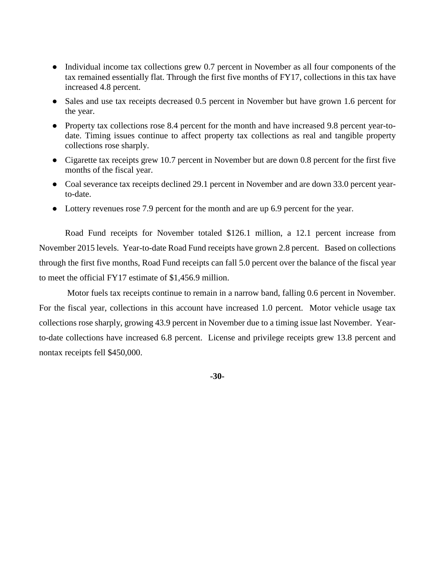- Individual income tax collections grew 0.7 percent in November as all four components of the tax remained essentially flat. Through the first five months of FY17, collections in this tax have increased 4.8 percent.
- Sales and use tax receipts decreased 0.5 percent in November but have grown 1.6 percent for the year.
- Property tax collections rose 8.4 percent for the month and have increased 9.8 percent year-todate. Timing issues continue to affect property tax collections as real and tangible property collections rose sharply.
- Cigarette tax receipts grew 10.7 percent in November but are down 0.8 percent for the first five months of the fiscal year.
- Coal severance tax receipts declined 29.1 percent in November and are down 33.0 percent yearto-date.
- Lottery revenues rose 7.9 percent for the month and are up 6.9 percent for the year.

Road Fund receipts for November totaled \$126.1 million, a 12.1 percent increase from November 2015 levels. Year-to-date Road Fund receipts have grown 2.8 percent. Based on collections through the first five months, Road Fund receipts can fall 5.0 percent over the balance of the fiscal year to meet the official FY17 estimate of \$1,456.9 million.

Motor fuels tax receipts continue to remain in a narrow band, falling 0.6 percent in November. For the fiscal year, collections in this account have increased 1.0 percent. Motor vehicle usage tax collections rose sharply, growing 43.9 percent in November due to a timing issue last November. Yearto-date collections have increased 6.8 percent. License and privilege receipts grew 13.8 percent and nontax receipts fell \$450,000.

**-30-**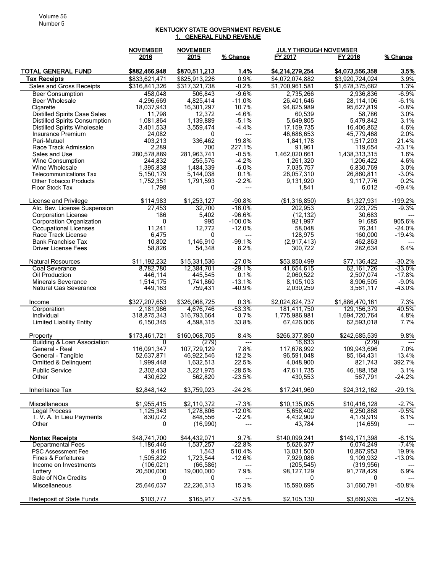## KENTUCKY STATE GOVERNMENT REVENUE 1. GENERAL FUND REVENUE

|                                                           | <b>NOVEMBER</b>          | <b>NOVEMBER</b>          |                      |                           | <b>JULY THROUGH NOVEMBER</b> |                                             |
|-----------------------------------------------------------|--------------------------|--------------------------|----------------------|---------------------------|------------------------------|---------------------------------------------|
|                                                           | 2016                     | 2015                     | % Change             | FY 2017                   | FY 2016                      | % Change                                    |
| <b>TOTAL GENERAL FUND</b>                                 | \$882,466,948            | \$870,511,213            | 1.4%                 | \$4,214,279,254           | \$4,073,556,358              | 3.5%                                        |
| <b>Tax Receipts</b>                                       | \$833,621,471            | \$825,913,226            | 0.9%                 | \$4,072,074,882           | \$3,920,724,024              | 3.9%                                        |
| Sales and Gross Receipts                                  | \$316,841,326            | \$317,321,738            | $-0.2%$              | \$1,700,961,581           | \$1,678,375,682              | 1.3%                                        |
| <b>Beer Consumption</b>                                   | 458,048                  | 506,843                  | $-9.6%$              | 2,735,266                 | 2,936,836                    | $-6.9%$                                     |
| <b>Beer Wholesale</b>                                     | 4,296,669                | 4,825,414                | $-11.0%$             | 26,401,646                | 28,114,106                   | $-6.1%$                                     |
| Cigarette                                                 | 18,037,943               | 16,301,297               | 10.7%                | 94,825,989                | 95,627,819                   | $-0.8%$                                     |
| <b>Distilled Spirits Case Sales</b>                       | 11,798                   | 12,372                   | $-4.6%$              | 60,539                    | 58,786                       | 3.0%                                        |
| Distilled Spirits Consumption                             | 1,081,864                | 1,139,889                | $-5.1%$              | 5,649,805                 | 5,479,842                    | 3.1%                                        |
| <b>Distilled Spirits Wholesale</b>                        | 3,401,533                | 3,559,474                | $-4.4%$              | 17, 159, 735              | 16,406,862                   | 4.6%                                        |
| Insurance Premium                                         | 24,082                   | 0                        | $---$                | 46,686,653                | 45,779,468                   | 2.0%                                        |
| Pari-Mutuel<br>Race Track Admission                       | 403,213<br>2,289         | 336,462<br>700           | 19.8%<br>227.1%      | 1,841,178                 | 1,517,203                    | 21.4%<br>$-23.1%$                           |
| Sales and Use                                             | 280,578,889              | 281,963,741              | $-0.5%$              | 91,961<br>1,462,020,661   | 119,654<br>1,438,313,315     | 1.6%                                        |
| Wine Consumption                                          | 244,832                  | 255,576                  | $-4.2%$              | 1,261,320                 | 1,206,422                    | 4.6%                                        |
| Wine Wholesale                                            | 1,395,838                | 1,484,339                | $-6.0%$              | 7,035,757                 | 6,830,769                    | 3.0%                                        |
| <b>Telecommunications Tax</b>                             | 5,150,179                | 5,144,038                | 0.1%                 | 26,057,310                | 26,860,811                   | $-3.0%$                                     |
| <b>Other Tobacco Products</b>                             | 1,752,351                | 1,791,593                | $-2.2%$              | 9,131,920                 | 9,117,776                    | 0.2%                                        |
| Floor Stock Tax                                           | 1,798                    | 0                        | $---$                | 1,841                     | 6,012                        | $-69.4%$                                    |
| License and Privilege                                     | \$114,983                | \$1,253,127              | $-90.8%$             | (\$1,316,850)             | \$1,327,931                  | $-199.2%$                                   |
| Alc. Bev. License Suspension                              | 27,453                   | 32,700                   | $-16.0%$             | 202,953                   | 223,725                      | $-9.3%$                                     |
| <b>Corporation License</b>                                | 186                      | 5.402                    | $-96.6%$             | (12, 132)                 | 30,683                       |                                             |
| <b>Corporation Organization</b>                           | 0                        | 995                      | $-100.0%$            | 921,997                   | 91,685                       | 905.6%                                      |
| Occupational Licenses                                     | 11,241                   | 12,772                   | $-12.0%$             | 58,048                    | 76,341                       | $-24.0%$                                    |
| Race Track License                                        | 6,475                    | 0                        | $---$                | 128,975                   | 160.000                      | $-19.4%$                                    |
| <b>Bank Franchise Tax</b><br>Driver License Fees          | 10,802<br>58,826         | 1,146,910<br>54,348      | $-99.1%$<br>8.2%     | (2,917,413)<br>300,722    | 462,863<br>282,634           | 6.4%                                        |
|                                                           |                          |                          |                      |                           |                              |                                             |
| <b>Natural Resources</b>                                  | \$11,192,232             | \$15,331,536             | $-27.0%$             | \$53,850,499              | \$77,136,422                 | $-30.2%$                                    |
| Coal Severance                                            | 8,782,780                | 12,384,701               | $-29.1%$             | 41,654,615                | 62,161,726                   | -33.0%                                      |
| Oil Production                                            | 446,114                  | 445,545                  | 0.1%                 | 2,060,522                 | 2,507,074                    | $-17.8%$                                    |
| <b>Minerals Severance</b><br><b>Natural Gas Severance</b> | 1,514,175<br>449,163     | 1,741,860<br>759,431     | $-13.1%$<br>$-40.9%$ | 8,105,103<br>2,030,259    | 8,906,505<br>3,561,117       | $-9.0%$<br>$-43.0%$                         |
|                                                           |                          |                          |                      |                           |                              |                                             |
| Income                                                    | \$327,207,653            | \$326,068,725            | 0.3%                 | \$2,024,824,737           | \$1,886,470,161              | 7.3%                                        |
| Corporation                                               | 2,181,966                | 4,676,746                | $-53.3%$             | 181,411,750               | 129, 156, 379                | 40.5%                                       |
| Individual                                                | 318,875,343              | 316,793,664              | 0.7%                 | 1,775,986,981             | 1,694,720,764                | 4.8%                                        |
| <b>Limited Liability Entity</b>                           | 6,150,345                | 4,598,315                | 33.8%                | 67,426,006                | 62,593,018                   | 7.7%                                        |
| Property<br><b>Building &amp; Loan Association</b>        | \$173.461.721<br>0       | \$160,068,705            | 8.4%<br>---          | \$266,377,860             | \$242,685,539                | 9.8%                                        |
| General - Real                                            | 116,091,347              | (279)<br>107,729,129     | 7.8%                 | 16,633<br>117,678,992     | (279)<br>109,943,696         | $\hspace{0.05cm}---\hspace{0.05cm}$<br>7.0% |
| General - Tangible                                        | 52,637,871               | 46,922,546               | 12.2%                | 96,591,048                | 85, 164, 431                 | 13.4%                                       |
| Omitted & Delinguent                                      | 1,999,448                | 1,632,513                | 22.5%                | 4,048,900                 | 821,743                      | 392.7%                                      |
| <b>Public Service</b>                                     | 2,302,433                | 3,221,975                | $-28.5%$             | 47,611,735                | 46, 188, 158                 | 3.1%                                        |
| Other                                                     | 430,622                  | 562,820                  | $-23.5%$             | 430,553                   | 567,791                      | $-24.2%$                                    |
| Inheritance Tax                                           | \$2.848.142              | \$3.759.023              | $-24.2%$             | \$17,241,960              | \$24,312,162                 | $-29.1%$                                    |
|                                                           |                          |                          |                      |                           |                              |                                             |
| Miscellaneous<br><b>Legal Process</b>                     | \$1,955,415<br>1,125,343 | \$2,110,372<br>1,278,806 | $-7.3%$<br>$-12.0%$  | \$10,135,095<br>5,658,402 | \$10,416,128<br>6,250,868    | $-2.7%$<br>$-9.5%$                          |
| T. V. A. In Lieu Payments                                 | 830,072                  | 848,556                  | $-2.2%$              | 4,432,909                 | 4,179,919                    | 6.1%                                        |
| Other                                                     | 0                        | (16,990)                 |                      | 43,784                    | (14, 659)                    |                                             |
| <b>Nontax Receipts</b>                                    | \$48,741,700             | \$44,432,071             | 9.7%                 | \$140,099.241             | \$149,171,398                | $-6.1%$                                     |
| Departmental Fees                                         | 1,186,446                | 1,537,257                | $-22.8%$             | 5.626.377                 | 6,074,249                    | $-7.4%$                                     |
| PSC Assessment Fee                                        | 9,416                    | 1,543                    | 510.4%               | 13,031,500                | 10,867,953                   | 19.9%                                       |
| Fines & Forfeitures                                       | 1,505,822                | 1,723,544                | $-12.6%$             | 7,929,086                 | 9,109,932                    | $-13.0%$                                    |
| Income on Investments                                     | (106, 021)               | (66, 586)                |                      | (205, 545)                | (319.956)                    |                                             |
| Lottery                                                   | 20,500,000               | 19,000,000               | 7.9%                 | 98,127,129                | 91,778,429                   | 6.9%                                        |
| Sale of NOx Credits<br>Miscellaneous                      | 0<br>25,646,037          | 0<br>22,236,313          | ---<br>15.3%         | 0<br>15,590,695           | 0<br>31,660,791              | $-50.8%$                                    |
|                                                           |                          |                          |                      |                           |                              |                                             |
| <b>Redeposit of State Funds</b>                           | \$103,777                | \$165,917                | $-37.5%$             | \$2,105,130               | \$3,660,935                  | $-42.5%$                                    |